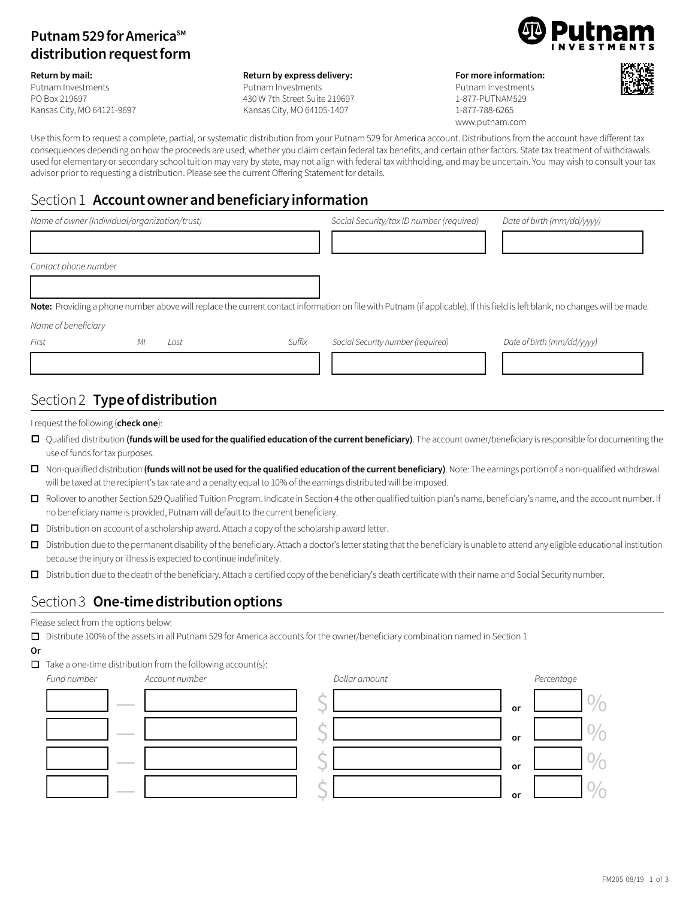## **Putnam 529 for America**<sup>SM</sup> **distribution request form**

#### **Return by mail:**

Putnam Investments PO Box 219697 Kansas City, MO 64121-9697

#### **Return by express delivery:**

Putnam Investments 430 W 7th Street Suite 219697 Kansas City, MO 64105-1407



**For more information:**  Putnam Investments 1-877-PUTNAM529 1-877-788-6265 www.putnam.com



Use this form to request a complete, partial, or systematic distribution from your Putnam 529 for America account. Distributions from the account have different tax consequences depending on how the proceeds are used, whether you claim certain federal tax benefits, and certain other factors. State tax treatment of withdrawals used for elementary or secondary school tuition may vary by state, may not align with federal tax withholding, and may be uncertain. You may wish to consult your tax advisor prior to requesting a distribution. Please see the current Offering Statement for details.

### Section 1 **Accountownerandbeneficiaryinformation**

| Name of owner (Individual/organization/trust) |    |      |        | Social Security/tax ID number (required) | Date of birth (mm/dd/yyyy)                                                                                                                                                   |
|-----------------------------------------------|----|------|--------|------------------------------------------|------------------------------------------------------------------------------------------------------------------------------------------------------------------------------|
|                                               |    |      |        |                                          |                                                                                                                                                                              |
| Contact phone number                          |    |      |        |                                          |                                                                                                                                                                              |
|                                               |    |      |        |                                          |                                                                                                                                                                              |
|                                               |    |      |        |                                          | Note: Providing a phone number above will replace the current contact information on file with Putnam (if applicable). If this field is left blank, no changes will be made. |
| Name of beneficiary                           |    |      |        |                                          |                                                                                                                                                                              |
| First                                         | МI | Last | Suffix | Social Security number (required)        | Date of birth (mm/dd/yyyy)                                                                                                                                                   |
|                                               |    |      |        |                                          |                                                                                                                                                                              |
|                                               |    |      |        |                                          |                                                                                                                                                                              |

# Section 2 **Type of distribution**

I request the following (**check one**):

- □ Qualified distribution (funds will be used for the qualified education of the current beneficiary). The account owner/beneficiary is responsible for documenting the use of funds for tax purposes.
- □ Non-qualified distribution (funds will not be used for the qualified education of the current beneficiary). Note: The earnings portion of a non-qualified withdrawal will be taxed at the recipient's tax rate and a penalty equal to 10% of the earnings distributed will be imposed.
- o Rollover to another Section 529 Qualified Tuition Program. Indicate in Section 4 the other qualified tuition plan's name, beneficiary's name, and the account number. If no beneficiary name is provided, Putnam will default to the current beneficiary.
- $\Box$  Distribution on account of a scholarship award. Attach a copy of the scholarship award letter.
- $\Box$  Distribution due to the permanent disability of the beneficiary. Attach a doctor's letter stating that the beneficiary is unable to attend any eligible educational institution because the injury or illness is expected to continue indefinitely.
- o Distribution due to the death of the beneficiary. Attach a certified copy of the beneficiary's death certificate with their name and Social Security number.

### Section 3 **One-time distribution options**

#### Please select from the options below:

- Distribute 100% of the assets in all Putnam 529 for America accounts for the owner/beneficiary combination named in Section 1
- **Or**
- $\Box$  Take a one-time distribution from the following account(s):



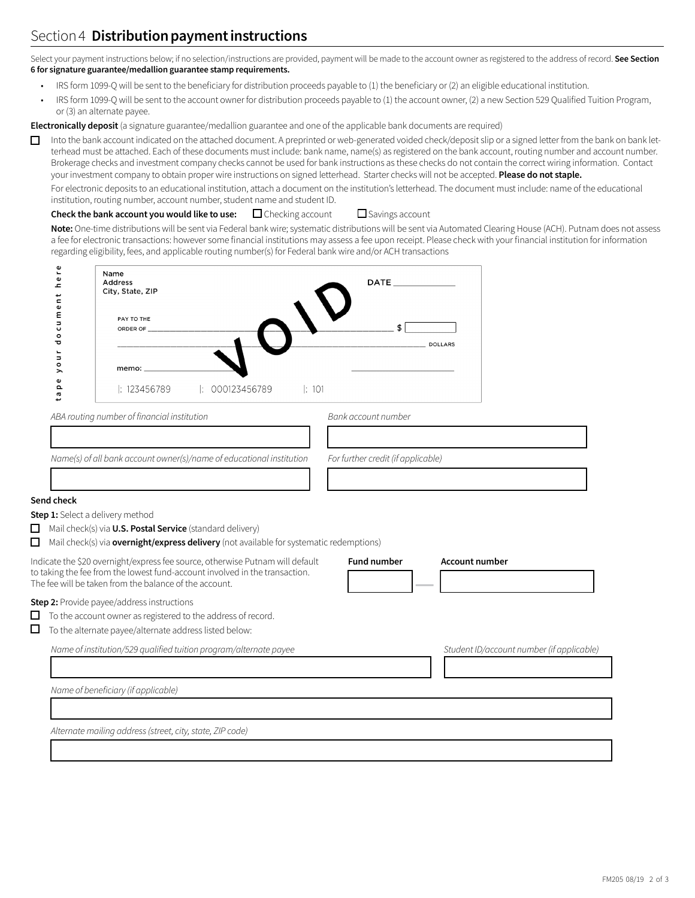# Section 4 **Distribution payment instructions**

Select your payment instructions below; if no selection/instructions are provided, payment will be made to the account owner as registered to the address of record. **See Section 6 for signature guarantee/medallion guarantee stamp requirements.**

- IRS form 1099-Q will be sent to the beneficiary for distribution proceeds payable to (1) the beneficiary or (2) an eligible educational institution.
- IRS form 1099-Q will be sent to the account owner for distribution proceeds payable to (1) the account owner, (2) a new Section 529 Qualified Tuition Program, or (3) an alternate payee.

**Electronically deposit** (a signature guarantee/medallion guarantee and one of the applicable bank documents are required)

 $\Box$  Into the bank account indicated on the attached document. A preprinted or web-generated voided check/deposit slip or a signed letter from the bank on bank letterhead must be attached. Each of these documents must include: bank name, name(s) as registered on the bank account, routing number and account number. Brokerage checks and investment company checks cannot be used for bank instructions as these checks do not contain the correct wiring information. Contact your investment company to obtain proper wire instructions on signed letterhead. Starter checks will not be accepted. **Please do not staple.**

For electronic deposits to an educational institution, attach a document on the institution's letterhead. The document must include: name of the educational institution, routing number, account number, student name and student ID.

**Check the bank account you would like to use:**  $\Box$  Checking account  $\Box$  Savings account

**Ser** 

**Note:** One-time distributions will be sent via Federal bank wire; systematic distributions will be sent via Automated Clearing House (ACH). Putnam does not assess a fee for electronic transactions: however some financial institutions may assess a fee upon receipt. Please check with your financial institution for information regarding eligibility, fees, and applicable routing number(s) for Federal bank wire and/or ACH transactions

| Φ<br>٠.<br>$\pmb{\omega}$<br>ᇰ<br>$\frac{1}{2}$                   | Name<br><b>Address</b><br>City, State, ZIP                                                                                                                                                                             | <b>DATE</b>                                 |                                           |
|-------------------------------------------------------------------|------------------------------------------------------------------------------------------------------------------------------------------------------------------------------------------------------------------------|---------------------------------------------|-------------------------------------------|
| Φ<br>ε<br>$\overline{\phantom{a}}$<br>U<br>$\circ$<br>ਹ           | PAY TO THE<br>ORDER OF                                                                                                                                                                                                 | \$<br><b>DOLLARS</b>                        |                                           |
| $\blacksquare$<br>$\Rightarrow$<br>$\circ$<br>⋋<br>$\pmb{\omega}$ | memo:                                                                                                                                                                                                                  |                                             |                                           |
| Ω<br><b>L</b>                                                     | 000123456789<br> : 101<br>$\parallel$ : 123456789                                                                                                                                                                      |                                             |                                           |
|                                                                   | ABA routing number of financial institution                                                                                                                                                                            | Bank account number                         |                                           |
|                                                                   |                                                                                                                                                                                                                        |                                             |                                           |
|                                                                   | Name(s) of all bank account owner(s)/name of educational institution                                                                                                                                                   | For further credit (if applicable)          |                                           |
| Send check                                                        |                                                                                                                                                                                                                        |                                             |                                           |
|                                                                   | Step 1: Select a delivery method                                                                                                                                                                                       |                                             |                                           |
|                                                                   | Mail check(s) via U.S. Postal Service (standard delivery)<br>Mail check(s) via overnight/express delivery (not available for systematic redemptions)                                                                   |                                             |                                           |
|                                                                   | Indicate the \$20 overnight/express fee source, otherwise Putnam will default<br>to taking the fee from the lowest fund-account involved in the transaction.<br>The fee will be taken from the balance of the account. | <b>Fund number</b><br><b>Account number</b> |                                           |
|                                                                   | Step 2: Provide payee/address instructions                                                                                                                                                                             |                                             |                                           |
|                                                                   | To the account owner as registered to the address of record.                                                                                                                                                           |                                             |                                           |
|                                                                   | To the alternate payee/alternate address listed below:                                                                                                                                                                 |                                             |                                           |
|                                                                   | Name of institution/529 qualified tuition program/alternate payee                                                                                                                                                      |                                             | Student ID/account number (if applicable) |
|                                                                   |                                                                                                                                                                                                                        |                                             |                                           |
|                                                                   | Name of beneficiary (if applicable)                                                                                                                                                                                    |                                             |                                           |
|                                                                   |                                                                                                                                                                                                                        |                                             |                                           |
|                                                                   | Alternate mailing address (street, city, state, ZIP code)                                                                                                                                                              |                                             |                                           |
|                                                                   |                                                                                                                                                                                                                        |                                             |                                           |